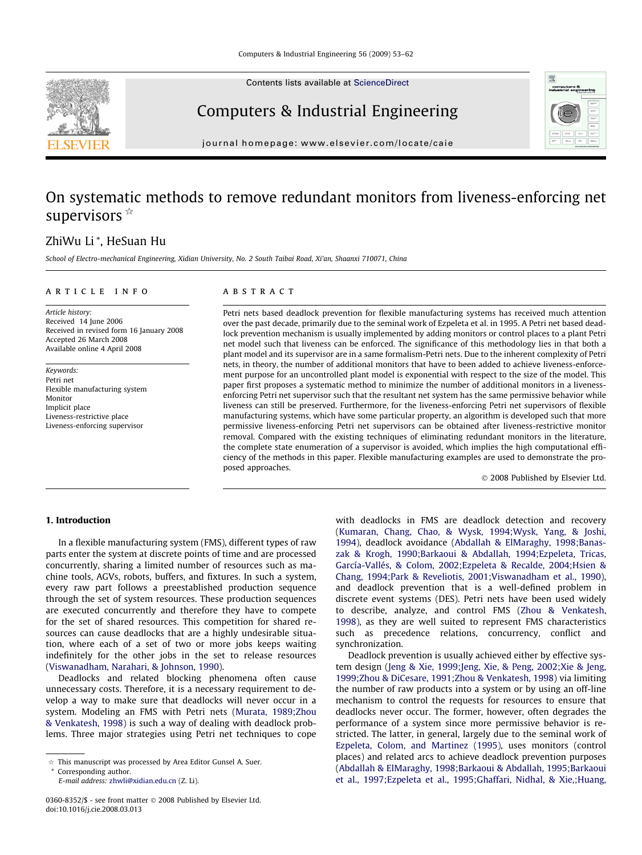Contents lists available at [ScienceDirect](http://www.sciencedirect.com/science/journal/03608352)

## Computers & Industrial Engineering

journal homepage: [www.elsevier.com/locate/caie](http://www.elsevier.com/locate/caie)

### On systematic methods to remove redundant monitors from liveness-enforcing net supervisors  $*$

### ZhiWu Li \*, HeSuan Hu

School of Electro-mechanical Engineering, Xidian University, No. 2 South Taibai Road, Xi'an, Shaanxi 710071, China

#### article info

Article history: Received 14 June 2006 Received in revised form 16 January 2008 Accepted 26 March 2008 Available online 4 April 2008

Keywords: Petri net Flexible manufacturing system Monitor Implicit place Liveness-restrictive place Liveness-enforcing supervisor

#### **ABSTRACT**

Petri nets based deadlock prevention for flexible manufacturing systems has received much attention over the past decade, primarily due to the seminal work of Ezpeleta et al. in 1995. A Petri net based deadlock prevention mechanism is usually implemented by adding monitors or control places to a plant Petri net model such that liveness can be enforced. The significance of this methodology lies in that both a plant model and its supervisor are in a same formalism-Petri nets. Due to the inherent complexity of Petri nets, in theory, the number of additional monitors that have to been added to achieve liveness-enforcement purpose for an uncontrolled plant model is exponential with respect to the size of the model. This paper first proposes a systematic method to minimize the number of additional monitors in a livenessenforcing Petri net supervisor such that the resultant net system has the same permissive behavior while liveness can still be preserved. Furthermore, for the liveness-enforcing Petri net supervisors of flexible manufacturing systems, which have some particular property, an algorithm is developed such that more permissive liveness-enforcing Petri net supervisors can be obtained after liveness-restrictive monitor removal. Compared with the existing techniques of eliminating redundant monitors in the literature, the complete state enumeration of a supervisor is avoided, which implies the high computational efficiency of the methods in this paper. Flexible manufacturing examples are used to demonstrate the proposed approaches.

© 2008 Published by Elsevier Ltd.

#### 1. Introduction

In a flexible manufacturing system (FMS), different types of raw parts enter the system at discrete points of time and are processed concurrently, sharing a limited number of resources such as machine tools, AGVs, robots, buffers, and fixtures. In such a system, every raw part follows a preestablished production sequence through the set of system resources. These production sequences are executed concurrently and therefore they have to compete for the set of shared resources. This competition for shared resources can cause deadlocks that are a highly undesirable situation, where each of a set of two or more jobs keeps waiting indefinitely for the other jobs in the set to release resources ([Viswanadham, Narahari, & Johnson, 1990](#page--1-0)).

Deadlocks and related blocking phenomena often cause unnecessary costs. Therefore, it is a necessary requirement to develop a way to make sure that deadlocks will never occur in a system. Modeling an FMS with Petri nets ([Murata, 1989;Zhou](#page--1-0) [& Venkatesh, 1998](#page--1-0)) is such a way of dealing with deadlock problems. Three major strategies using Petri net techniques to cope

 $\dot{\varphi}$  This manuscript was processed by Area Editor Gunsel A. Suer.

Corresponding author.

E-mail address: [zhwli@xidian.edu.cn](mailto:zhwli@xidian.edu.cn) (Z. Li).

with deadlocks in FMS are deadlock detection and recovery ([Kumaran, Chang, Chao, & Wysk, 1994;Wysk, Yang, & Joshi,](#page--1-0) [1994\)](#page--1-0), deadlock avoidance [\(Abdallah & ElMaraghy, 1998;Banas](#page--1-0)[zak & Krogh, 1990;Barkaoui & Abdallah, 1994;Ezpeleta, Tricas,](#page--1-0) [García-Vallés, & Colom, 2002;Ezpeleta & Recalde, 2004;Hsien &](#page--1-0) [Chang, 1994;Park & Reveliotis, 2001;Viswanadham et al., 1990\)](#page--1-0), and deadlock prevention that is a well-defined problem in discrete event systems (DES). Petri nets have been used widely to describe, analyze, and control FMS [\(Zhou & Venkatesh,](#page--1-0) [1998\)](#page--1-0), as they are well suited to represent FMS characteristics such as precedence relations, concurrency, conflict and synchronization.

Deadlock prevention is usually achieved either by effective system design [\(Jeng & Xie, 1999;Jeng, Xie, & Peng, 2002;Xie & Jeng,](#page--1-0) [1999;Zhou & DiCesare, 1991;Zhou & Venkatesh, 1998\)](#page--1-0) via limiting the number of raw products into a system or by using an off-line mechanism to control the requests for resources to ensure that deadlocks never occur. The former, however, often degrades the performance of a system since more permissive behavior is restricted. The latter, in general, largely due to the seminal work of [Ezpeleta, Colom, and Martinez \(1995\),](#page--1-0) uses monitors (control places) and related arcs to achieve deadlock prevention purposes ([Abdallah & ElMaraghy, 1998;Barkaoui & Abdallah, 1995;Barkaoui](#page--1-0) [et al., 1997;Ezpeleta et al., 1995;Ghaffari, Nidhal, & Xie,;Huang,](#page--1-0)



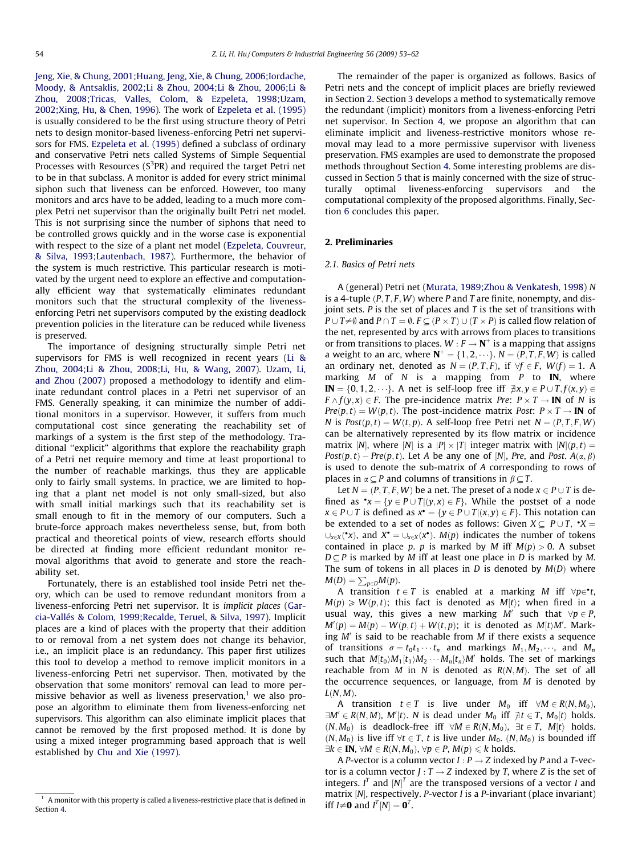[Jeng, Xie, & Chung, 2001;Huang, Jeng, Xie, & Chung, 2006;Iordache,](#page--1-0) [Moody, & Antsaklis, 2002;Li & Zhou, 2004;Li & Zhou, 2006;Li &](#page--1-0) [Zhou, 2008;Tricas, Valles, Colom, & Ezpeleta, 1998;Uzam,](#page--1-0) [2002;Xing, Hu, & Chen, 1996](#page--1-0)). The work of [Ezpeleta et al. \(1995\)](#page--1-0) is usually considered to be the first using structure theory of Petri nets to design monitor-based liveness-enforcing Petri net supervisors for FMS. [Ezpeleta et al. \(1995\)](#page--1-0) defined a subclass of ordinary and conservative Petri nets called Systems of Simple Sequential Processes with Resources ( $S^3$ PR) and required the target Petri net to be in that subclass. A monitor is added for every strict minimal siphon such that liveness can be enforced. However, too many monitors and arcs have to be added, leading to a much more complex Petri net supervisor than the originally built Petri net model. This is not surprising since the number of siphons that need to be controlled grows quickly and in the worse case is exponential with respect to the size of a plant net model ([Ezpeleta, Couvreur,](#page--1-0) [& Silva, 1993;Lautenbach, 1987](#page--1-0)). Furthermore, the behavior of the system is much restrictive. This particular research is motivated by the urgent need to explore an effective and computationally efficient way that systematically eliminates redundant monitors such that the structural complexity of the livenessenforcing Petri net supervisors computed by the existing deadlock prevention policies in the literature can be reduced while liveness is preserved.

The importance of designing structurally simple Petri net supervisors for FMS is well recognized in recent years [\(Li &](#page--1-0) [Zhou, 2004;Li & Zhou, 2008;Li, Hu, & Wang, 2007](#page--1-0)). [Uzam, Li,](#page--1-0) [and Zhou \(2007\)](#page--1-0) proposed a methodology to identify and eliminate redundant control places in a Petri net supervisor of an FMS. Generally speaking, it can minimize the number of additional monitors in a supervisor. However, it suffers from much computational cost since generating the reachability set of markings of a system is the first step of the methodology. Traditional ''explicit" algorithms that explore the reachability graph of a Petri net require memory and time at least proportional to the number of reachable markings, thus they are applicable only to fairly small systems. In practice, we are limited to hoping that a plant net model is not only small-sized, but also with small initial markings such that its reachability set is small enough to fit in the memory of our computers. Such a brute-force approach makes nevertheless sense, but, from both practical and theoretical points of view, research efforts should be directed at finding more efficient redundant monitor removal algorithms that avoid to generate and store the reachability set.

Fortunately, there is an established tool inside Petri net theory, which can be used to remove redundant monitors from a liveness-enforcing Petri net supervisor. It is implicit places [\(Gar](#page--1-0)[cia-Vallés & Colom, 1999;Recalde, Teruel, & Silva, 1997](#page--1-0)). Implicit places are a kind of places with the property that their addition to or removal from a net system does not change its behavior, i.e., an implicit place is an redundancy. This paper first utilizes this tool to develop a method to remove implicit monitors in a liveness-enforcing Petri net supervisor. Then, motivated by the observation that some monitors' removal can lead to more permissive behavior as well as liveness preservation, $1$  we also propose an algorithm to eliminate them from liveness-enforcing net supervisors. This algorithm can also eliminate implicit places that cannot be removed by the first proposed method. It is done by using a mixed integer programming based approach that is well established by [Chu and Xie \(1997\)](#page--1-0).

The remainder of the paper is organized as follows. Basics of Petri nets and the concept of implicit places are briefly reviewed in Section 2. Section [3](#page--1-0) develops a method to systematically remove the redundant (implicit) monitors from a liveness-enforcing Petri net supervisor. In Section [4](#page--1-0), we propose an algorithm that can eliminate implicit and liveness-restrictive monitors whose removal may lead to a more permissive supervisor with liveness preservation. FMS examples are used to demonstrate the proposed methods throughout Section [4](#page--1-0). Some interesting problems are discussed in Section [5](#page--1-0) that is mainly concerned with the size of structurally optimal liveness-enforcing supervisors and the computational complexity of the proposed algorithms. Finally, Section [6](#page--1-0) concludes this paper.

#### 2. Preliminaries

#### 2.1. Basics of Petri nets

A (general) Petri net [\(Murata, 1989;Zhou & Venkatesh, 1998\)](#page--1-0) N is a 4-tuple  $(P, T, F, W)$  where P and T are finite, nonempty, and disjoint sets.  $P$  is the set of places and  $T$  is the set of transitions with  $P \cup T \neq \emptyset$  and  $P \cap T = \emptyset$ .  $F \subseteq (P \times T) \cup (T \times P)$  is called flow relation of the net, represented by arcs with arrows from places to transitions or from transitions to places.  $W : F \to \mathbf{N}^+$  is a mapping that assigns a weight to an arc, where  $N^+ = \{1, 2, \dots\}$ .  $N = (P, T, F, W)$  is called an ordinary net, denoted as  $N = (P, T, F)$ , if  $\forall f \in F$ ,  $W(f) = 1$ . A marking  $M$  of  $N$  is a mapping from  $P$  to **IN**, where IN =  $\{0, 1, 2, \dots\}$ . A net is self-loop free iff  $\exists x, y \in P \cup T, f(x, y) \in$  $F \wedge f(y,x) \in F$ . The pre-incidence matrix Pre:  $P \times T \to \mathbb{IN}$  of N is  $Pre(p, t) = W(p, t)$ . The post-incidence matrix Post:  $P \times T \rightarrow \mathbb{N}$  of N is  $Post(p, t) = W(t, p)$ . A self-loop free Petri net  $N = (P, T, F, W)$ can be alternatively represented by its flow matrix or incidence matrix [N], where [N] is a  $|P| \times |T|$  integer matrix with  $[N](p, t) =$  $Post(p, t) - Pre(p, t)$ . Let A be any one of [N], Pre, and Post.  $A(\alpha, \beta)$ is used to denote the sub-matrix of A corresponding to rows of places in  $\alpha \subset P$  and columns of transitions in  $\beta \subset T$ .

Let  $N = (P, T, F, W)$  be a net. The preset of a node  $x \in P \cup T$  is defined as  $\mathbf{x} = \{y \in P \cup T | (y, x) \in F\}$ . While the postset of a node  $x \in P \cup T$  is defined as  $x^{\bullet} = \{ y \in P \cup T | (x, y) \in F \}$ . This notation can be extended to a set of nodes as follows: Given  $X \subset P \cup T$ ,  $X =$  $\bigcup_{x\in X}$  (\*x), and  $X^{\bullet} = \bigcup_{x\in X}(x^{\bullet})$ .  $M(p)$  indicates the number of tokens contained in place p. p is marked by M iff  $M(p) > 0$ . A subset  $D \subseteq P$  is marked by M iff at least one place in D is marked by M. The sum of tokens in all places in  $D$  is denoted by  $M(D)$  where  $M(D) = \sum_{p \in D} M(p)$ .

A transition  $t \in T$  is enabled at a marking M iff  $\forall p \in \mathcal{I}$ ,  $M(p) \geq W(p,t)$ ; this fact is denoted as  $M(t)$ ; when fired in a usual way, this gives a new marking  $M'$  such that  $\forall p \in P$ ,  $M'(p) = M(p) - W(p, t) + W(t, p)$ ; it is denoted as  $M(t)M'$ . Marking  $M'$  is said to be reachable from  $M$  if there exists a sequence of transitions  $\sigma = t_0t_1 \cdots t_n$  and markings  $M_1, M_2, \cdots$ , and  $M_n$ such that  $M[t_0/M_1[t_1/M_2 \cdots M_n[t_n)/M']$  holds. The set of markings reachable from  $M$  in  $N$  is denoted as  $R(N, M)$ . The set of all the occurrence sequences, or language, from  $M$  is denoted by  $L(N, M)$ .

A transition  $t \in T$  is live under  $M_0$  iff  $\forall M \in R(N, M_0)$ ,  $\exists M' \in R(N, M)$ ,  $M'[t]$ . N is dead under  $M_0$  iff  $\nexists t \in T$ ,  $M_0[t]$  holds.  $(N, M_0)$  is deadlock-free iff  $\forall M \in R(N, M_0)$ ,  $\exists t \in T$ ,  $M[t\$  holds.  $(N, M_0)$  is live iff  $\forall t \in T$ , t is live under  $M_0$ .  $(N, M_0)$  is bounded iff  $\exists k \in \mathbb{IN}, \forall M \in R(N, M_0), \forall p \in P, M(p) \leq k \text{ holds.}$ 

A P-vector is a column vector  $I: P \rightarrow Z$  indexed by P and a T-vector is a column vector  $J : T \rightarrow Z$  indexed by T, where Z is the set of integers.  $I<sup>T</sup>$  and  $[N]$ <sup>T</sup> are the transposed versions of a vector I and matrix  $[N]$ , respectively. P-vector *I* is a *P*-invariant (place invariant) iff  $I \neq 0$  and  $I^T[N] = 0^T$ .

 $1$  A monitor with this property is called a liveness-restrictive place that is defined in Section [4](#page--1-0).